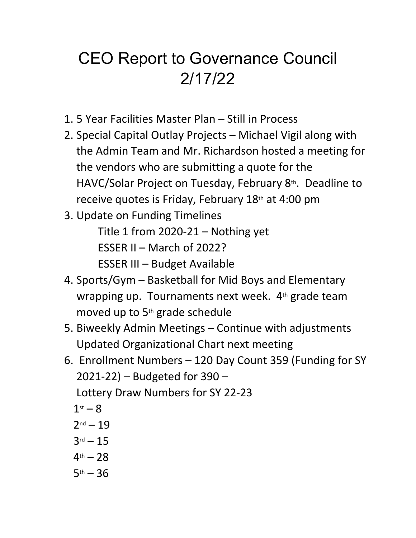## CEO Report to Governance Council 2/17/22

- 1. 5 Year Facilities Master Plan Still in Process
- 2. Special Capital Outlay Projects Michael Vigil along with the Admin Team and Mr. Richardson hosted a meeting for the vendors who are submitting a quote for the HAVC/Solar Project on Tuesday, February 8th. Deadline to receive quotes is Friday, February 18th at 4:00 pm
- 3. Update on Funding Timelines Title 1 from 2020-21 – Nothing yet ESSER II – March of 2022? ESSER III – Budget Available
- 4. Sports/Gym Basketball for Mid Boys and Elementary wrapping up. Tournaments next week.  $4<sup>th</sup>$  grade team moved up to 5th grade schedule
- 5. Biweekly Admin Meetings Continue with adjustments Updated Organizational Chart next meeting
- 6. Enrollment Numbers 120 Day Count 359 (Funding for SY 2021-22) – Budgeted for 390 – Lottery Draw Numbers for SY 22-23
	- $1<sup>st</sup> 8$
	- $2^{nd} 19$
	- $3^{rd} 15$
	- $4<sup>th</sup> 28$
	- $5<sup>th</sup> 36$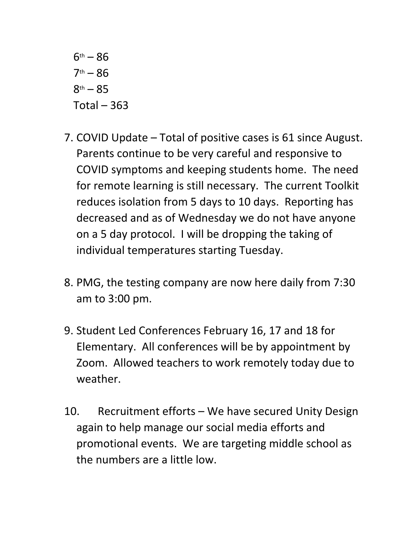$6^{th} - 86$  $7<sup>th</sup> - 86$  $8<sup>th</sup> - 85$  $Total - 363$ 

- 7. COVID Update Total of positive cases is 61 since August. Parents continue to be very careful and responsive to COVID symptoms and keeping students home. The need for remote learning is still necessary. The current Toolkit reduces isolation from 5 days to 10 days. Reporting has decreased and as of Wednesday we do not have anyone on a 5 day protocol. I will be dropping the taking of individual temperatures starting Tuesday.
- 8. PMG, the testing company are now here daily from 7:30 am to 3:00 pm.
- 9. Student Led Conferences February 16, 17 and 18 for Elementary. All conferences will be by appointment by Zoom. Allowed teachers to work remotely today due to weather.
- 10. Recruitment efforts We have secured Unity Design again to help manage our social media efforts and promotional events. We are targeting middle school as the numbers are a little low.